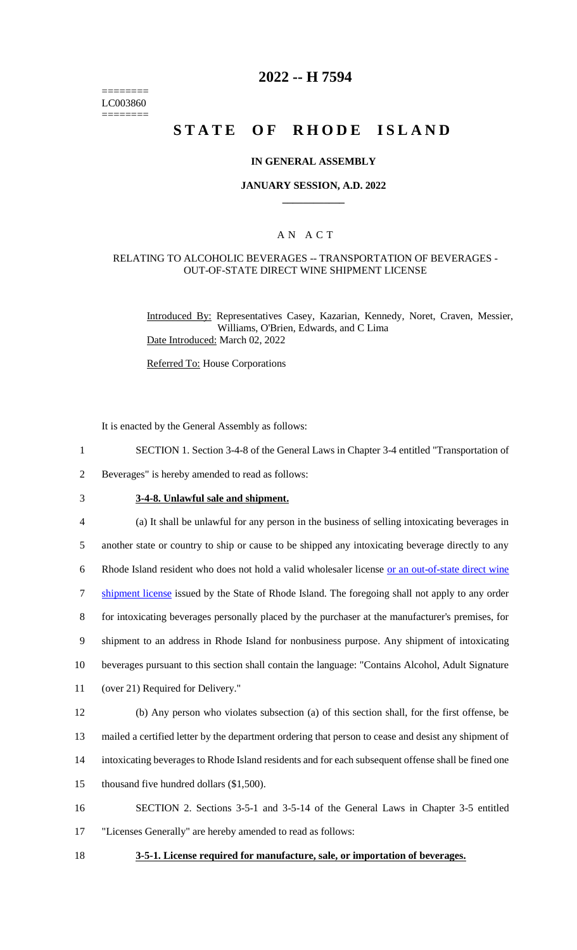======== LC003860 ========

## **2022 -- H 7594**

# **STATE OF RHODE ISLAND**

#### **IN GENERAL ASSEMBLY**

#### **JANUARY SESSION, A.D. 2022 \_\_\_\_\_\_\_\_\_\_\_\_**

### A N A C T

#### RELATING TO ALCOHOLIC BEVERAGES -- TRANSPORTATION OF BEVERAGES - OUT-OF-STATE DIRECT WINE SHIPMENT LICENSE

Introduced By: Representatives Casey, Kazarian, Kennedy, Noret, Craven, Messier, Williams, O'Brien, Edwards, and C Lima Date Introduced: March 02, 2022

Referred To: House Corporations

It is enacted by the General Assembly as follows:

- 1 SECTION 1. Section 3-4-8 of the General Laws in Chapter 3-4 entitled "Transportation of
- 2 Beverages" is hereby amended to read as follows:

## 3 **3-4-8. Unlawful sale and shipment.**

4 (a) It shall be unlawful for any person in the business of selling intoxicating beverages in 5 another state or country to ship or cause to be shipped any intoxicating beverage directly to any

6 Rhode Island resident who does not hold a valid wholesaler license or an out-of-state direct wine

7 shipment license issued by the State of Rhode Island. The foregoing shall not apply to any order

8 for intoxicating beverages personally placed by the purchaser at the manufacturer's premises, for

9 shipment to an address in Rhode Island for nonbusiness purpose. Any shipment of intoxicating

10 beverages pursuant to this section shall contain the language: "Contains Alcohol, Adult Signature

11 (over 21) Required for Delivery."

 (b) Any person who violates subsection (a) of this section shall, for the first offense, be mailed a certified letter by the department ordering that person to cease and desist any shipment of intoxicating beverages to Rhode Island residents and for each subsequent offense shall be fined one 15 thousand five hundred dollars (\$1,500).

16 SECTION 2. Sections 3-5-1 and 3-5-14 of the General Laws in Chapter 3-5 entitled 17 "Licenses Generally" are hereby amended to read as follows:

18 **3-5-1. License required for manufacture, sale, or importation of beverages.**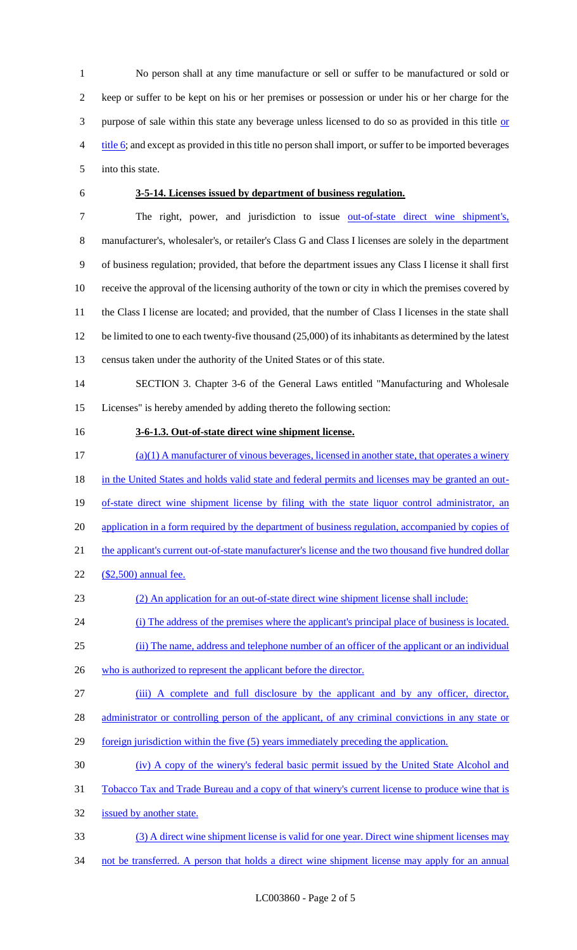No person shall at any time manufacture or sell or suffer to be manufactured or sold or keep or suffer to be kept on his or her premises or possession or under his or her charge for the 3 purpose of sale within this state any beverage unless licensed to do so as provided in this title or title 6; and except as provided in this title no person shall import, or suffer to be imported beverages into this state.

### **3-5-14. Licenses issued by department of business regulation.**

7 The right, power, and jurisdiction to issue <u>out-of-state direct wine shipment's</u>, manufacturer's, wholesaler's, or retailer's Class G and Class I licenses are solely in the department of business regulation; provided, that before the department issues any Class I license it shall first receive the approval of the licensing authority of the town or city in which the premises covered by the Class I license are located; and provided, that the number of Class I licenses in the state shall 12 be limited to one to each twenty-five thousand (25,000) of its inhabitants as determined by the latest census taken under the authority of the United States or of this state.

 SECTION 3. Chapter 3-6 of the General Laws entitled "Manufacturing and Wholesale Licenses" is hereby amended by adding thereto the following section:

#### **3-6-1.3. Out-of-state direct wine shipment license.**

 (a)(1) A manufacturer of vinous beverages, licensed in another state, that operates a winery 18 in the United States and holds valid state and federal permits and licenses may be granted an out-19 of-state direct wine shipment license by filing with the state liquor control administrator, an 20 application in a form required by the department of business regulation, accompanied by copies of 21 the applicant's current out-of-state manufacturer's license and the two thousand five hundred dollar (\$2,500) annual fee. (2) An application for an out-of-state direct wine shipment license shall include: (i) The address of the premises where the applicant's principal place of business is located. (ii) The name, address and telephone number of an officer of the applicant or an individual 26 who is authorized to represent the applicant before the director. (iii) A complete and full disclosure by the applicant and by any officer, director, 28 administrator or controlling person of the applicant, of any criminal convictions in any state or 29 foreign jurisdiction within the five (5) years immediately preceding the application. (iv) A copy of the winery's federal basic permit issued by the United State Alcohol and

Tobacco Tax and Trade Bureau and a copy of that winery's current license to produce wine that is

issued by another state.

- (3) A direct wine shipment license is valid for one year. Direct wine shipment licenses may
- 34 not be transferred. A person that holds a direct wine shipment license may apply for an annual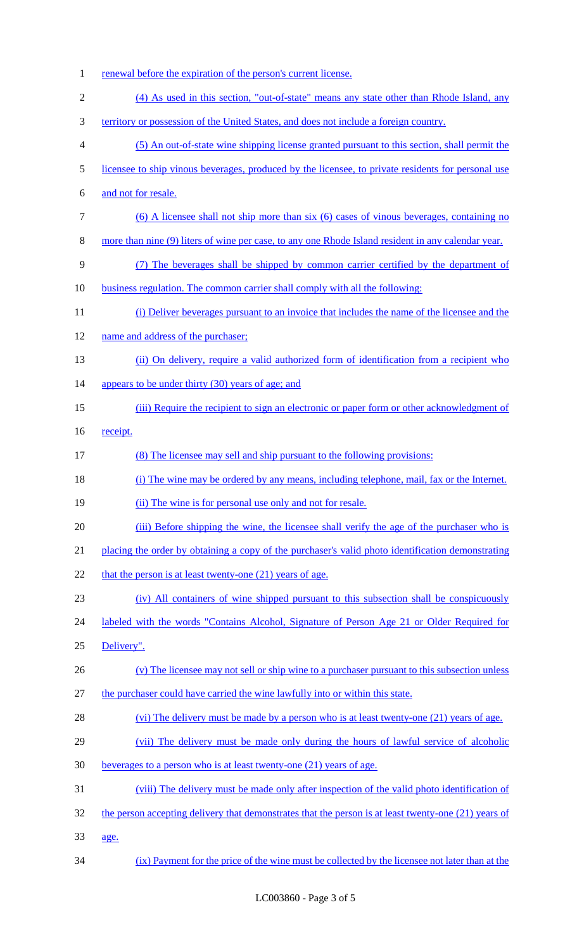1 renewal before the expiration of the person's current license. (4) As used in this section, "out-of-state" means any state other than Rhode Island, any territory or possession of the United States, and does not include a foreign country. (5) An out-of-state wine shipping license granted pursuant to this section, shall permit the licensee to ship vinous beverages, produced by the licensee, to private residents for personal use and not for resale. (6) A licensee shall not ship more than six (6) cases of vinous beverages, containing no more than nine (9) liters of wine per case, to any one Rhode Island resident in any calendar year. (7) The beverages shall be shipped by common carrier certified by the department of business regulation. The common carrier shall comply with all the following: (i) Deliver beverages pursuant to an invoice that includes the name of the licensee and the 12 name and address of the purchaser; 13 (ii) On delivery, require a valid authorized form of identification from a recipient who 14 appears to be under thirty (30) years of age; and (iii) Require the recipient to sign an electronic or paper form or other acknowledgment of receipt. (8) The licensee may sell and ship pursuant to the following provisions: (i) The wine may be ordered by any means, including telephone, mail, fax or the Internet. 19 (ii) The wine is for personal use only and not for resale. 20 (iii) Before shipping the wine, the licensee shall verify the age of the purchaser who is 21 placing the order by obtaining a copy of the purchaser's valid photo identification demonstrating 22 that the person is at least twenty-one  $(21)$  years of age. (iv) All containers of wine shipped pursuant to this subsection shall be conspicuously 24 labeled with the words "Contains Alcohol, Signature of Person Age 21 or Older Required for Delivery". 26 (v) The licensee may not sell or ship wine to a purchaser pursuant to this subsection unless the purchaser could have carried the wine lawfully into or within this state. 28 (vi) The delivery must be made by a person who is at least twenty-one (21) years of age. (vii) The delivery must be made only during the hours of lawful service of alcoholic beverages to a person who is at least twenty-one (21) years of age. (viii) The delivery must be made only after inspection of the valid photo identification of 32 the person accepting delivery that demonstrates that the person is at least twenty-one (21) years of age. (ix) Payment for the price of the wine must be collected by the licensee not later than at the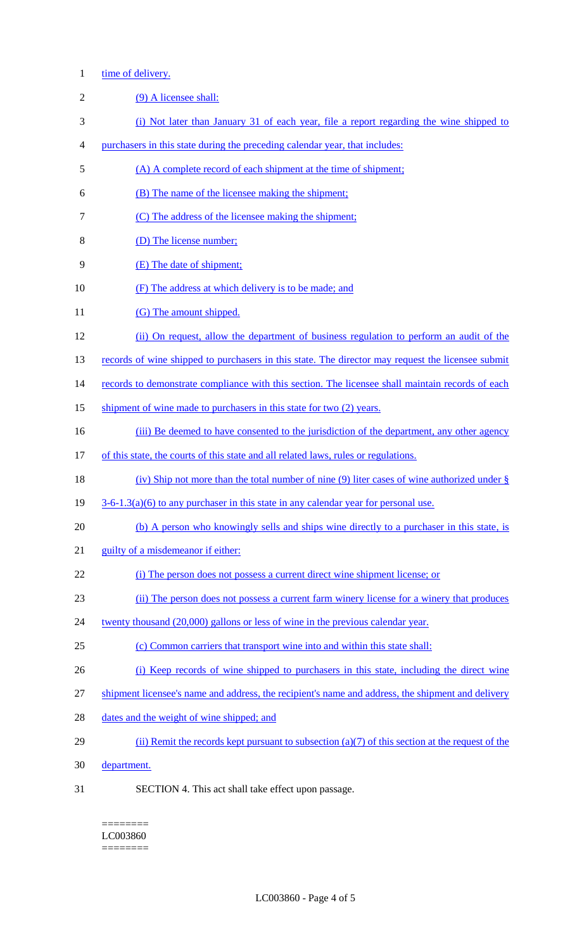## 1 time of delivery.

| $\mathfrak{2}$ | (9) A licensee shall:                                                                             |
|----------------|---------------------------------------------------------------------------------------------------|
| 3              | (i) Not later than January 31 of each year, file a report regarding the wine shipped to           |
| $\overline{4}$ | purchasers in this state during the preceding calendar year, that includes:                       |
| 5              | (A) A complete record of each shipment at the time of shipment;                                   |
| 6              | (B) The name of the licensee making the shipment;                                                 |
| 7              | (C) The address of the licensee making the shipment;                                              |
| 8              | (D) The license number;                                                                           |
| 9              | (E) The date of shipment;                                                                         |
| 10             | (F) The address at which delivery is to be made; and                                              |
| 11             | (G) The amount shipped.                                                                           |
| 12             | (ii) On request, allow the department of business regulation to perform an audit of the           |
| 13             | records of wine shipped to purchasers in this state. The director may request the licensee submit |
| 14             | records to demonstrate compliance with this section. The licensee shall maintain records of each  |
| 15             | shipment of wine made to purchasers in this state for two (2) years.                              |
| 16             | (iii) Be deemed to have consented to the jurisdiction of the department, any other agency         |
| 17             | of this state, the courts of this state and all related laws, rules or regulations.               |
| 18             | (iv) Ship not more than the total number of nine (9) liter cases of wine authorized under $\S$    |
|                |                                                                                                   |
| 19             | $3-6-1.3(a)(6)$ to any purchaser in this state in any calendar year for personal use.             |
| 20             | (b) A person who knowingly sells and ships wine directly to a purchaser in this state, is         |
| 21             | guilty of a misdemeanor if either:                                                                |
| 22             | (i) The person does not possess a current direct wine shipment license; or                        |
| 23             | (ii) The person does not possess a current farm winery license for a winery that produces         |
| 24             | twenty thousand (20,000) gallons or less of wine in the previous calendar year.                   |
| 25             | (c) Common carriers that transport wine into and within this state shall:                         |
| 26             | (i) Keep records of wine shipped to purchasers in this state, including the direct wine           |
| 27             | shipment licensee's name and address, the recipient's name and address, the shipment and delivery |
| 28             | dates and the weight of wine shipped; and                                                         |
| 29             | (ii) Remit the records kept pursuant to subsection (a)(7) of this section at the request of the   |
| 30             | department.                                                                                       |

 $=$ LC003860 ========